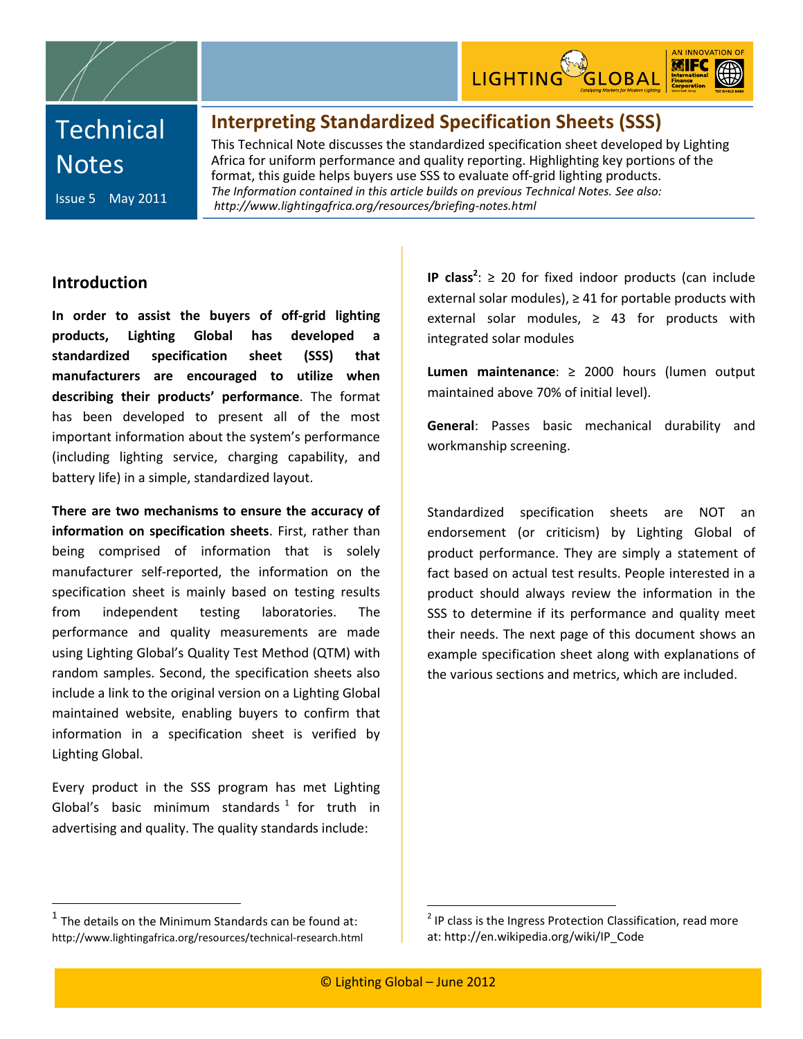

# **Technical Notes**

Issue 5 May 2011

### **Interpreting Standardized Specification Sheets (SSS)**

This Technical Note discusses the standardized specification sheet developed by Lighting Africa for uniform performance and quality reporting. Highlighting key portions of the format, this guide helps buyers use SSS to evaluate off-grid lighting products. *The Information contained in this article builds on previous Technical Notes. See also: http://www.lightingafrica.org/resources/briefing-notes.html*

#### **Introduction**

**In order to assist the buyers of off-grid lighting products, Lighting Global has developed a standardized specification sheet (SSS) that manufacturers are encouraged to utilize when describing their products' performance**. The format has been developed to present all of the most important information about the system's performance (including lighting service, charging capability, and battery life) in a simple, standardized layout.

**There are two mechanisms to ensure the accuracy of information on specification sheets**. First, rather than being comprised of information that is solely manufacturer self-reported, the information on the specification sheet is mainly based on testing results from independent testing laboratories. The performance and quality measurements are made using Lighting Global's Quality Test Method (QTM) with random samples. Second, the specification sheets also include a link to the original version on a Lighting Global maintained website, enabling buyers to confirm that information in a specification sheet is verified by Lighting Global.

Every product in the SSS program has met Lighting Global's basic minimum standards  $1$  for truth in advertising and quality. The quality standards include:

**IP class<sup>2</sup>:** ≥ 20 for fixed indoor products (can include external solar modules),  $\geq 41$  for portable products with external solar modules,  $\geq$  43 for products with integrated solar modules

**Lumen maintenance**: ≥ 2000 hours (lumen output maintained above 70% of initial level).

**General**: Passes basic mechanical durability and workmanship screening.

Standardized specification sheets are NOT an endorsement (or criticism) by Lighting Global of product performance. They are simply a statement of fact based on actual test results. People interested in a product should always review the information in the SSS to determine if its performance and quality meet their needs. The next page of this document shows an example specification sheet along with explanations of the various sections and metrics, which are included.

 $1$  The details on the Minimum Standards can be found at: http://www.lightingafrica.org/resources/technical-research.html

 $2$  IP class is the Ingress Protection Classification, read more at: http://en.wikipedia.org/wiki/IP\_Code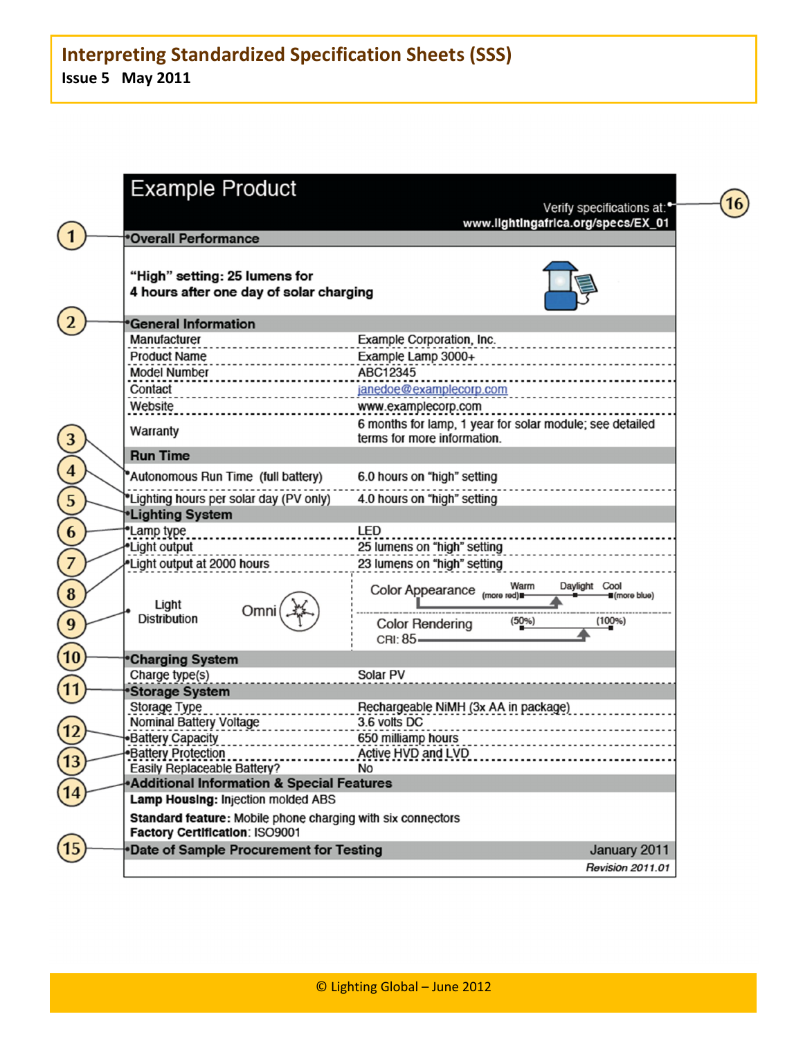| <b>Example Product</b>                                                                        |                                                                                         |
|-----------------------------------------------------------------------------------------------|-----------------------------------------------------------------------------------------|
|                                                                                               | Verify specifications at:<br>www.lightingafrica.org/specs/EX_01                         |
| <b>Overall Performance</b>                                                                    |                                                                                         |
| "High" setting: 25 lumens for<br>4 hours after one day of solar charging                      |                                                                                         |
| <b>General Information</b>                                                                    |                                                                                         |
| Manufacturer                                                                                  | Example Corporation, Inc.                                                               |
| <u>.</u><br><b>Product Name</b>                                                               | Example Lamp 3000+                                                                      |
| <b>Model Number</b>                                                                           | ABC12345                                                                                |
| Contact                                                                                       | janedoe@examplecorp.com                                                                 |
| Website                                                                                       | www.examplecorp.com                                                                     |
| Warranty                                                                                      | 6 months for lamp, 1 year for solar module; see detailed<br>terms for more information. |
| <b>Run Time</b>                                                                               |                                                                                         |
| *Autonomous Run Time (full battery)                                                           | 6.0 hours on "high" setting                                                             |
| "Lighting hours per solar day (PV only)                                                       | 4.0 hours on "high" setting                                                             |
| <b>*Lighting System</b>                                                                       |                                                                                         |
| *Lamp type                                                                                    | <b>LED</b>                                                                              |
| *Light output                                                                                 | 25 lumens on "high" setting                                                             |
| *Light output at 2000 hours                                                                   | 23 lumens on "high" setting                                                             |
| Light                                                                                         | Warm<br>Daylight Cool<br>Color Appearance (more red)<br><b>II</b> (more blue)           |
| Omni<br><b>Distribution</b>                                                                   | (100%)<br>$(50\%)$<br><b>Color Rendering</b><br>CRI: 85-                                |
| <b>Charging System</b>                                                                        |                                                                                         |
| Charge type(s)                                                                                | Solar PV                                                                                |
| <b>Storage System</b>                                                                         |                                                                                         |
| Storage Type                                                                                  | Rechargeable NiMH (3x AA in package)                                                    |
| Nominal Battery Voltage                                                                       | 3.6 volts DC                                                                            |
| •Battery Capacity                                                                             | 650 milliamp hours                                                                      |
| <b>Battery Protection</b>                                                                     | Active HVD and LVD                                                                      |
| <b>Easily Replaceable Battery?</b>                                                            | <b>No</b>                                                                               |
| Additional Information & Special Features<br>Lamp Housing: Injection molded ABS               |                                                                                         |
|                                                                                               |                                                                                         |
| Standard feature: Mobile phone charging with six connectors<br>Factory Certification: ISO9001 |                                                                                         |
| *Date of Sample Procurement for Testing                                                       | January 2011                                                                            |
|                                                                                               | <b>Revision 2011.01</b>                                                                 |